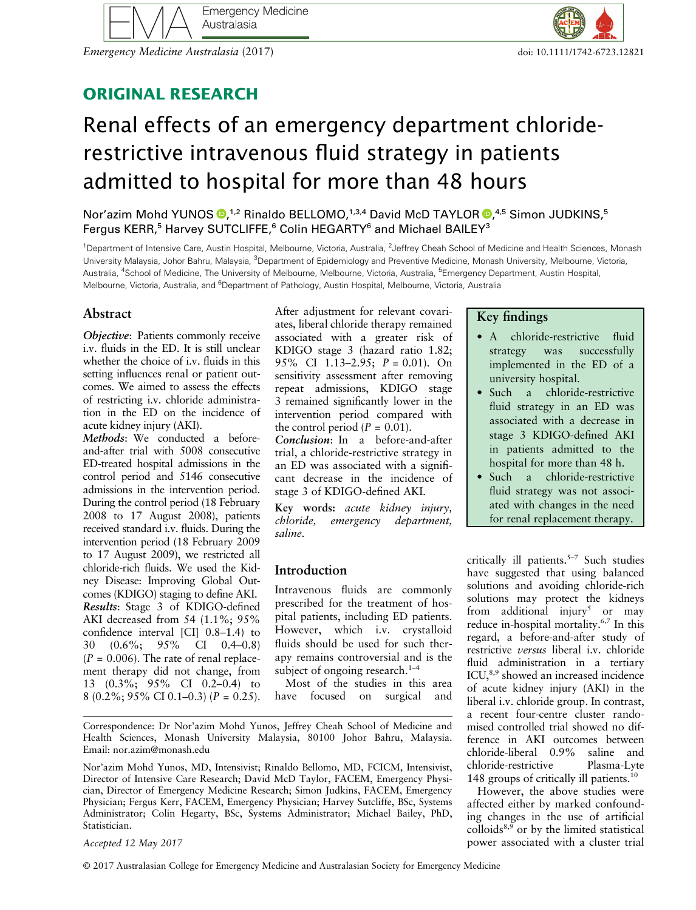

Emergency Medicine Australasia (2017) doi: 10.1111/1742-6723.12821

# ORIGINAL RESEARCH

# Renal effects of an emergency department chloriderestrictive intravenous fluid strategy in patients admitted to hospital for more than 48 hours

Nor'azim Mohd YUNOS <sup>®</sup>[,](http://orcid.org/0000-0002-5890-4825)<sup>1,2</sup> Rinaldo BELLOMO,<sup>1,3,4</sup> David McD TAYLOR ®,<sup>4,5</sup> Simon JUDKINS,<sup>5</sup> Fergus KERR,<sup>5</sup> Harvey SUTCLIFFE,<sup>6</sup> Colin HEGARTY<sup>6</sup> and Michael BAILEY<sup>3</sup>

<sup>1</sup>Department of Intensive Care, Austin Hospital, Melbourne, Victoria, Australia, <sup>2</sup>Jeffrey Cheah School of Medicine and Health Sciences, Monash University Malaysia, Johor Bahru, Malaysia, <sup>3</sup>Department of Epidemiology and Preventive Medicine, Monash University, Melbourne, Victoria, Australia, <sup>4</sup>School of Medicine, The University of Melbourne, Melbourne, Victoria, Australia, <sup>5</sup>Emergency Department, Austin Hospital, Melbourne, Victoria, Australia, and <sup>6</sup>Department of Pathology, Austin Hospital, Melbourne, Victoria, Australia

# Abstract

Objective: Patients commonly receive i.v. fluids in the ED. It is still unclear whether the choice of i.v. fluids in this setting influences renal or patient outcomes. We aimed to assess the effects of restricting i.v. chloride administration in the ED on the incidence of acute kidney injury (AKI).

Methods: We conducted a beforeand-after trial with 5008 consecutive ED-treated hospital admissions in the control period and 5146 consecutive admissions in the intervention period. During the control period (18 February 2008 to 17 August 2008), patients received standard i.v. fluids. During the intervention period (18 February 2009 to 17 August 2009), we restricted all chloride-rich fluids. We used the Kidney Disease: Improving Global Outcomes (KDIGO) staging to define AKI. Results: Stage 3 of KDIGO-defined AKI decreased from 54 (1.1%; 95% confidence interval [CI] 0.8–1.4) to 30 (0.6%; 95% CI 0.4–0.8)  $(P = 0.006)$ . The rate of renal replacement therapy did not change, from 13 (0.3%; 95% CI 0.2–0.4) to 8 (0.2%; 95% CI 0.1–0.3) ( $P = 0.25$ ). After adjustment for relevant covariates, liberal chloride therapy remained associated with a greater risk of KDIGO stage 3 (hazard ratio 1.82; 95% CI 1.13–2.95; P = 0.01). On sensitivity assessment after removing repeat admissions, KDIGO stage 3 remained significantly lower in the intervention period compared with the control period ( $P = 0.01$ ).

Conclusion: In a before-and-after trial, a chloride-restrictive strategy in an ED was associated with a significant decrease in the incidence of stage 3 of KDIGO-defined AKI.

Key words: acute kidney injury, chloride, emergency department, saline.

# Introduction

Intravenous fluids are commonly prescribed for the treatment of hospital patients, including ED patients. However, which i.v. crystalloid fluids should be used for such therapy remains controversial and is the subject of ongoing research. $1-4$ 

Most of the studies in this area have focused on surgical and

Correspondence: Dr Nor'azim Mohd Yunos, Jeffrey Cheah School of Medicine and Health Sciences, Monash University Malaysia, 80100 Johor Bahru, Malaysia. Email: [nor.azim@monash.edu](mailto:nor.azim@monash.edu)

Nor'azim Mohd Yunos, MD, Intensivist; Rinaldo Bellomo, MD, FCICM, Intensivist, Director of Intensive Care Research; David McD Taylor, FACEM, Emergency Physician, Director of Emergency Medicine Research; Simon Judkins, FACEM, Emergency Physician; Fergus Kerr, FACEM, Emergency Physician; Harvey Sutcliffe, BSc, Systems Administrator; Colin Hegarty, BSc, Systems Administrator; Michael Bailey, PhD, Statistician.

#### Accepted 12 May 2017

© 2017 Australasian College for Emergency Medicine and Australasian Society for Emergency Medicine

# Key findings

- A chloride-restrictive fluid strategy was successfully implemented in the ED of a university hospital.
- Such a chloride-restrictive fluid strategy in an ED was associated with a decrease in stage 3 KDIGO-defined AKI in patients admitted to the hospital for more than 48 h.
- Such a chloride-restrictive fluid strategy was not associated with changes in the need for renal replacement therapy.

critically ill patients.<sup>5-7</sup> Such studies have suggested that using balanced solutions and avoiding chloride-rich solutions may protect the kidneys from additional injury<sup>5</sup> or may reduce in-hospital mortality.<sup>6,7</sup> In this regard, a before-and-after study of restrictive versus liberal i.v. chloride fluid administration in a tertiary  $ICU<sub>3,9</sub>$  showed an increased incidence of acute kidney injury (AKI) in the liberal i.v. chloride group. In contrast, a recent four-centre cluster randomised controlled trial showed no difference in AKI outcomes between chloride-liberal 0.9% saline and chloride-restrictive Plasma-Lyte 148 groups of critically ill patients.<sup>10</sup>

However, the above studies were affected either by marked confounding changes in the use of artificial colloids $8,9$  or by the limited statistical power associated with a cluster trial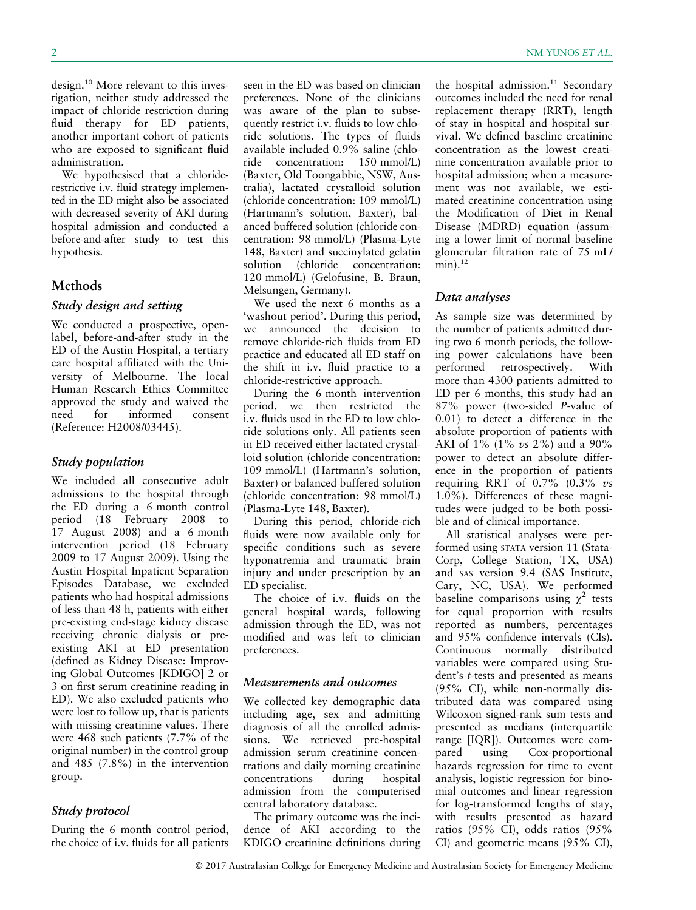design.<sup>10</sup> More relevant to this investigation, neither study addressed the impact of chloride restriction during fluid therapy for ED patients, another important cohort of patients who are exposed to significant fluid administration.

We hypothesised that a chloriderestrictive i.v. fluid strategy implemented in the ED might also be associated with decreased severity of AKI during hospital admission and conducted a before-and-after study to test this hypothesis.

# Methods

### Study design and setting

We conducted a prospective, openlabel, before-and-after study in the ED of the Austin Hospital, a tertiary care hospital affiliated with the University of Melbourne. The local Human Research Ethics Committee approved the study and waived the need for informed consent (Reference: H2008/03445).

# Study population

We included all consecutive adult admissions to the hospital through the ED during a 6 month control period (18 February 2008 to 17 August 2008) and a 6 month intervention period (18 February 2009 to 17 August 2009). Using the Austin Hospital Inpatient Separation Episodes Database, we excluded patients who had hospital admissions of less than 48 h, patients with either pre-existing end-stage kidney disease receiving chronic dialysis or preexisting AKI at ED presentation (defined as Kidney Disease: Improving Global Outcomes [KDIGO] 2 or 3 on first serum creatinine reading in ED). We also excluded patients who were lost to follow up, that is patients with missing creatinine values. There were 468 such patients (7.7% of the original number) in the control group and 485 (7.8%) in the intervention group.

# Study protocol

During the 6 month control period, the choice of i.v. fluids for all patients seen in the ED was based on clinician preferences. None of the clinicians was aware of the plan to subsequently restrict i.v. fluids to low chloride solutions. The types of fluids available included 0.9% saline (chloride concentration: 150 mmol/L) (Baxter, Old Toongabbie, NSW, Australia), lactated crystalloid solution (chloride concentration: 109 mmol/L) (Hartmann's solution, Baxter), balanced buffered solution (chloride concentration: 98 mmol/L) (Plasma-Lyte 148, Baxter) and succinylated gelatin solution (chloride concentration: 120 mmol/L) (Gelofusine, B. Braun, Melsungen, Germany).

We used the next 6 months as a 'washout period'. During this period, we announced the decision to remove chloride-rich fluids from ED practice and educated all ED staff on the shift in i.v. fluid practice to a chloride-restrictive approach.

During the 6 month intervention period, we then restricted the i.v. fluids used in the ED to low chloride solutions only. All patients seen in ED received either lactated crystalloid solution (chloride concentration: 109 mmol/L) (Hartmann's solution, Baxter) or balanced buffered solution (chloride concentration: 98 mmol/L) (Plasma-Lyte 148, Baxter).

During this period, chloride-rich fluids were now available only for specific conditions such as severe hyponatremia and traumatic brain injury and under prescription by an ED specialist.

The choice of i.v. fluids on the general hospital wards, following admission through the ED, was not modified and was left to clinician preferences.

# Measurements and outcomes

We collected key demographic data including age, sex and admitting diagnosis of all the enrolled admissions. We retrieved pre-hospital admission serum creatinine concentrations and daily morning creatinine concentrations during hospital admission from the computerised central laboratory database.

The primary outcome was the incidence of AKI according to the KDIGO creatinine definitions during

the hospital admission. $11$  Secondary outcomes included the need for renal replacement therapy (RRT), length of stay in hospital and hospital survival. We defined baseline creatinine concentration as the lowest creatinine concentration available prior to hospital admission; when a measurement was not available, we estimated creatinine concentration using the Modification of Diet in Renal Disease (MDRD) equation (assuming a lower limit of normal baseline glomerular filtration rate of 75 mL/  $min$ ).<sup>12</sup>

#### Data analyses

As sample size was determined by the number of patients admitted during two 6 month periods, the following power calculations have been performed retrospectively. With more than 4300 patients admitted to ED per 6 months, this study had an 87% power (two-sided P-value of 0.01) to detect a difference in the absolute proportion of patients with AKI of 1% (1% vs 2%) and a 90% power to detect an absolute difference in the proportion of patients requiring RRT of  $0.7\%$  (0.3% vs 1.0%). Differences of these magnitudes were judged to be both possible and of clinical importance.

All statistical analyses were performed using STATA version 11 (Stata-Corp, College Station, TX, USA) and SAS version 9.4 (SAS Institute, Cary, NC, USA). We performed baseline comparisons using  $\chi^2$  tests for equal proportion with results reported as numbers, percentages and 95% confidence intervals (CIs). Continuous normally distributed variables were compared using Student's t-tests and presented as means (95% CI), while non-normally distributed data was compared using Wilcoxon signed-rank sum tests and presented as medians (interquartile range [IQR]). Outcomes were compared using Cox-proportional hazards regression for time to event analysis, logistic regression for binomial outcomes and linear regression for log-transformed lengths of stay, with results presented as hazard ratios (95% CI), odds ratios (95% CI) and geometric means (95% CI),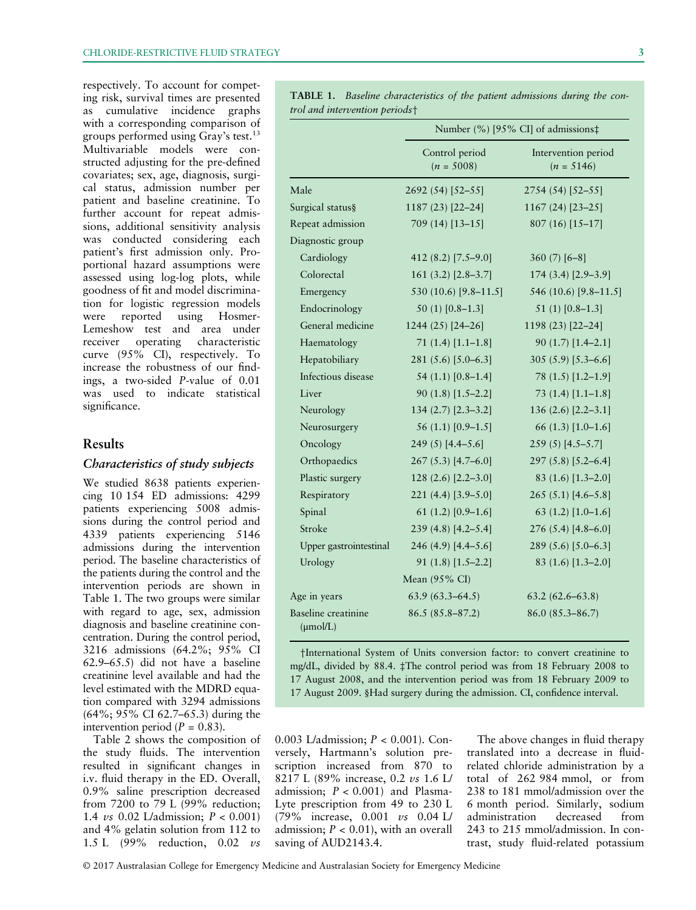respectively. To account for competing risk, survival times are presented as cumulative incidence graphs with a corresponding comparison of groups performed using Gray's test.<sup>13</sup> Multivariable models were constructed adjusting for the pre-defined covariates; sex, age, diagnosis, surgical status, admission number per patient and baseline creatinine. To further account for repeat admissions, additional sensitivity analysis was conducted considering each patient's first admission only. Proportional hazard assumptions were assessed using log-log plots, while goodness of fit and model discrimination for logistic regression models<br>were reported using Hosmerreported using Hosmer-Lemeshow test and area under receiver operating characteristic curve (95% CI), respectively. To increase the robustness of our findings, a two-sided P-value of 0.01 was used to indicate statistical significance.

# Results

#### Characteristics of study subjects

We studied 8638 patients experiencing 10 154 ED admissions: 4299 patients experiencing 5008 admissions during the control period and 4339 patients experiencing 5146 admissions during the intervention period. The baseline characteristics of the patients during the control and the intervention periods are shown in Table 1. The two groups were similar with regard to age, sex, admission diagnosis and baseline creatinine concentration. During the control period, 3216 admissions (64.2%; 95% CI 62.9–65.5) did not have a baseline creatinine level available and had the level estimated with the MDRD equation compared with 3294 admissions (64%; 95% CI 62.7–65.3) during the intervention period ( $P = 0.83$ ).

Table 2 shows the composition of the study fluids. The intervention resulted in significant changes in i.v. fluid therapy in the ED. Overall, 0.9% saline prescription decreased from 7200 to 79 L (99% reduction; 1.4 *vs* 0.02 L/admission;  $P < 0.001$ ) and 4% gelatin solution from 112 to 1.5 L (99% reduction, 0.02 vs

Male 2692 (54) [52–55] 2754 (54) [52–55] Surgical status§ 1187 (23) [22–24] 1167 (24) [23–25] Repeat admission 709 (14) [13–15] 807 (16) [15–17] Diagnostic group Cardiology 412 (8.2) [7.5–9.0] 360 (7) [6–8] Colorectal 161 (3.2) [2.8–3.7] 174 (3.4) [2.9–3.9] Emergency 530 (10.6) [9.8–11.5] 546 (10.6) [9.8–11.5] Endocrinology 50 (1) [0.8–1.3] 51 (1) [0.8–1.3] General medicine 1244 (25) [24–26] 1198 (23) [22–24] Haematology 71 (1.4) [1.1–1.8] 90 (1.7) [1.4–2.1] Hepatobiliary 281 (5.6) [5.0–6.3] 305 (5.9) [5.3–6.6] Infectious disease 54 (1.1) [0.8–1.4] 78 (1.5) [1.2–1.9] Liver 90 (1.8) [1.5–2.2] 73 (1.4) [1.1–1.8] Neurology 134 (2.7) [2.3–3.2] 136 (2.6) [2.2–3.1] Neurosurgery 56 (1.1) [0.9–1.5] 66 (1.3) [1.0–1.6] Oncology 249 (5) [4.4–5.6] 259 (5) [4.5–5.7] Orthopaedics 267 (5.3) [4.7–6.0] 297 (5.8) [5.2–6.4] Plastic surgery 128 (2.6) [2.2–3.0] 83 (1.6) [1.3–2.0] Respiratory 221 (4.4) [3.9–5.0] 265 (5.1) [4.6–5.8] Spinal 61 (1.2) [0.9–1.6] 63 (1.2) [1.0–1.6] Stroke 239 (4.8) [4.2–5.4] 276 (5.4) [4.8–6.0] Upper gastrointestinal 246 (4.9) [4.4–5.6] 289 (5.6) [5.0–6.3] Urology 91 (1.8) [1.5–2.2] 83 (1.6) [1.3–2.0] Mean (95% CI) Age in years 63.9 (63.3–64.5) 63.2 (62.6–63.8) Baseline creatinine 86.5 (85.8–87.2) 86.0 (85.3–86.7)

TABLE 1. Baseline characteristics of the patient admissions during the control and intervention periods†

> Control period  $(n = 5008)$

Number (%) [95% CI] of admissions‡

Intervention period  $(n = 5146)$ 

†International System of Units conversion factor: to convert creatinine to mg/dL, divided by 88.4. ‡The control period was from 18 February 2008 to 17 August 2008, and the intervention period was from 18 February 2009 to 17 August 2009. §Had surgery during the admission. CI, confidence interval.

0.003 L/admission; P < 0.001). Conversely, Hartmann's solution prescription increased from 870 to 8217 L (89% increase, 0.2 vs 1.6 L/ admission;  $P < 0.001$  and Plasma-Lyte prescription from 49 to 230 L (79% increase, 0.001 vs 0.04 L/ admission;  $P < 0.01$ ), with an overall saving of AUD2143.4.

The above changes in fluid therapy translated into a decrease in fluidrelated chloride administration by a total of 262 984 mmol, or from 238 to 181 mmol/admission over the 6 month period. Similarly, sodium administration decreased from 243 to 215 mmol/admission. In contrast, study fluid-related potassium

© 2017 Australasian College for Emergency Medicine and Australasian Society for Emergency Medicine

 $(\mu \text{mol/L})$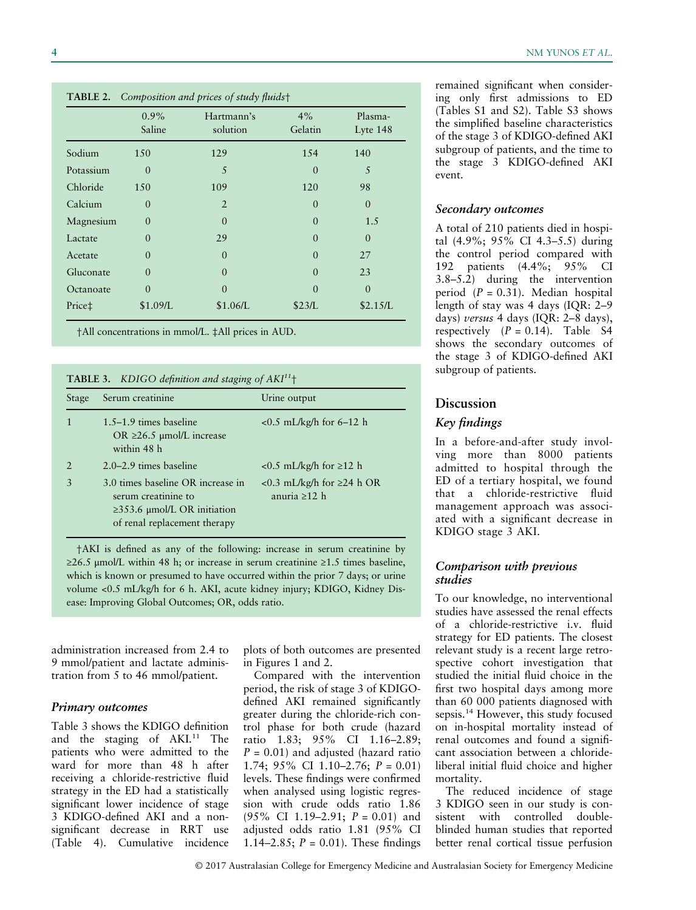|                    | $0.9\%$<br>Saline | Hartmann's<br>solution | 4%<br>Gelatin | Plasma-<br>Lyte 148 |
|--------------------|-------------------|------------------------|---------------|---------------------|
| Sodium             | 150               | 129                    | 154           | 140                 |
| Potassium          | $\theta$          | 5                      | $\theta$      | 5                   |
| Chloride           | 150               | 109                    | 120           | 98                  |
| Calcium            | $\theta$          | $\overline{2}$         | $\theta$      | $\theta$            |
| Magnesium          | $\theta$          | $\theta$               | $\theta$      | 1.5                 |
| Lactate            | $\theta$          | 29                     | $\theta$      | $\theta$            |
| Acetate            | $\theta$          | $\theta$               | $\theta$      | 27                  |
| Gluconate          | $\theta$          | $\theta$               | $\theta$      | 23                  |
| Octanoate          | $\Omega$          | $\theta$               | $\Omega$      | $\Omega$            |
| Price <sup>+</sup> | \$1.09/L          | \$1.06/L               | \$23/L        | \$2.15/L            |

TABLE 2. Composition and prices of study fluids†

†All concentrations in mmol/L. ‡All prices in AUD.

**TABLE 3.** KDIGO definition and staging of  $AKI<sup>11</sup>$ <sup>+</sup>

| Stage | Serum creatinine                                                                                                              | Urine output                                          |
|-------|-------------------------------------------------------------------------------------------------------------------------------|-------------------------------------------------------|
|       | $1.5-1.9$ times baseline<br>$OR$ ≥26.5 µmol/L increase<br>within 48 h                                                         | $< 0.5$ mL/kg/h for 6–12 h                            |
|       | $2.0 - 2.9$ times baseline                                                                                                    | $< 0.5$ mL/kg/h for $\geq 12$ h                       |
| 3     | 3.0 times baseline OR increase in<br>serum creatinine to<br>$\geq$ 353.6 µmol/L OR initiation<br>of renal replacement therapy | <0.3 mL/kg/h for $\geq$ 24 h OR<br>anuria $\geq 12$ h |

†AKI is defined as any of the following: increase in serum creatinine by ≥26.5 μmol/L within 48 h; or increase in serum creatinine ≥1.5 times baseline, which is known or presumed to have occurred within the prior 7 days; or urine volume <0.5 mL/kg/h for 6 h. AKI, acute kidney injury; KDIGO, Kidney Disease: Improving Global Outcomes; OR, odds ratio.

administration increased from 2.4 to 9 mmol/patient and lactate administration from 5 to 46 mmol/patient.

#### Primary outcomes

Table 3 shows the KDIGO definition and the staging of AKI.<sup>11</sup> The patients who were admitted to the ward for more than 48 h after receiving a chloride-restrictive fluid strategy in the ED had a statistically significant lower incidence of stage 3 KDIGO-defined AKI and a nonsignificant decrease in RRT use (Table 4). Cumulative incidence

plots of both outcomes are presented in Figures 1 and 2.

Compared with the intervention period, the risk of stage 3 of KDIGOdefined AKI remained significantly greater during the chloride-rich control phase for both crude (hazard ratio 1.83; 95% CI 1.16–2.89;  $P = 0.01$ ) and adjusted (hazard ratio 1.74;  $95\%$  CI 1.10–2.76;  $P = 0.01$ ) levels. These findings were confirmed when analysed using logistic regression with crude odds ratio 1.86  $(95\% \text{ CI } 1.19 - 2.91; P = 0.01)$  and adjusted odds ratio 1.81 (95% CI 1.14–2.85;  $P = 0.01$ ). These findings

remained significant when considering only first admissions to ED (Tables S1 and S2). Table S3 shows the simplified baseline characteristics of the stage 3 of KDIGO-defined AKI subgroup of patients, and the time to the stage 3 KDIGO-defined AKI event.

#### Secondary outcomes

A total of 210 patients died in hospital (4.9%; 95% CI 4.3–5.5) during the control period compared with 192 patients (4.4%; 95% CI 3.8–5.2) during the intervention period  $(P = 0.31)$ . Median hospital length of stay was 4 days (IQR: 2–9 days) versus 4 days (IQR: 2–8 days), respectively  $(P = 0.14)$ . Table S4 shows the secondary outcomes of the stage 3 of KDIGO-defined AKI subgroup of patients.

#### Discussion

#### Key findings

In a before-and-after study involving more than 8000 patients admitted to hospital through the ED of a tertiary hospital, we found that a chloride-restrictive fluid management approach was associated with a significant decrease in KDIGO stage 3 AKI.

#### Comparison with previous studies

To our knowledge, no interventional studies have assessed the renal effects of a chloride-restrictive i.v. fluid strategy for ED patients. The closest relevant study is a recent large retrospective cohort investigation that studied the initial fluid choice in the first two hospital days among more than 60 000 patients diagnosed with sepsis.<sup>14</sup> However, this study focused on in-hospital mortality instead of renal outcomes and found a significant association between a chlorideliberal initial fluid choice and higher mortality.

The reduced incidence of stage 3 KDIGO seen in our study is consistent with controlled doubleblinded human studies that reported better renal cortical tissue perfusion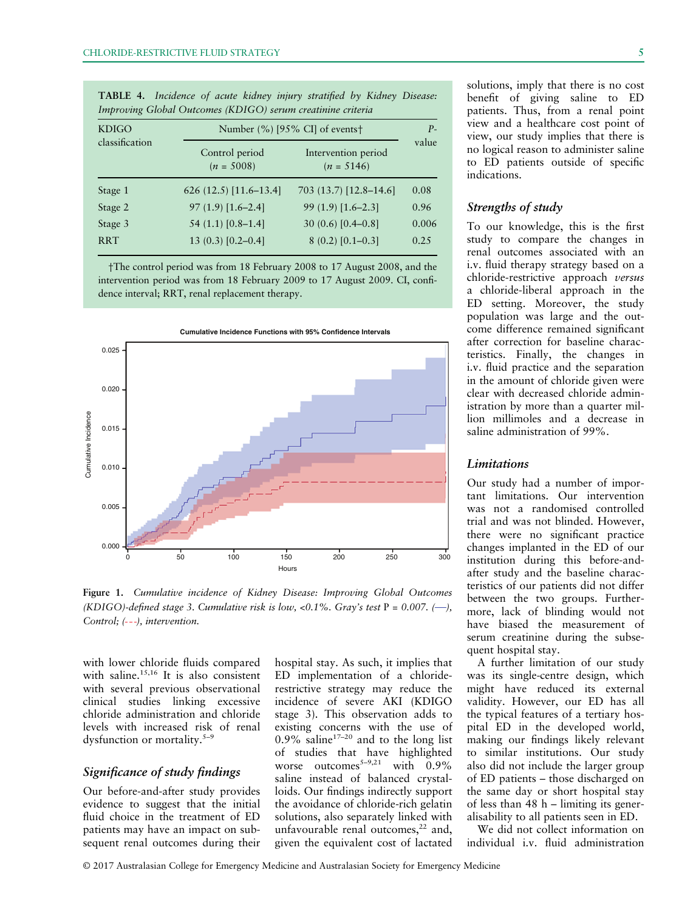| <b>KDIGO</b>   | Number (%) [95% CI] of events†                                        |                        |       |
|----------------|-----------------------------------------------------------------------|------------------------|-------|
| classification | Control period<br>Intervention period<br>$(n = 5008)$<br>$(n = 5146)$ |                        | value |
| Stage 1        | $626(12.5)[11.6-13.4]$                                                | 703 (13.7) [12.8–14.6] | 0.08  |
| Stage 2        | $97(1.9)$ [1.6-2.4]                                                   | $99(1.9)$ [1.6–2.3]    | 0.96  |
| Stage 3        | 54 $(1.1)$ [0.8-1.4]                                                  | $30(0.6)[0.4-0.8]$     | 0.006 |
| <b>RRT</b>     | $13(0.3)[0.2-0.4]$                                                    | $8(0.2)[0.1-0.3]$      | 0.25  |

TABLE 4. Incidence of acute kidney injury stratified by Kidney Disease: Improving Global Outcomes (KDIGO) serum creatinine criteria

†The control period was from 18 February 2008 to 17 August 2008, and the intervention period was from 18 February 2009 to 17 August 2009. CI, confidence interval; RRT, renal replacement therapy.



Figure 1. Cumulative incidence of Kidney Disease: Improving Global Outcomes (KDIGO)-defined stage 3. Cumulative risk is low, <0.1%. Gray's test  $P = 0.007$ . (--), Control;  $(--)$ , intervention.

with lower chloride fluids compared with saline.<sup>15,16</sup> It is also consistent with several previous observational clinical studies linking excessive chloride administration and chloride levels with increased risk of renal dysfunction or mortality.<sup>5-9</sup>

#### Significance of study findings

Our before-and-after study provides evidence to suggest that the initial fluid choice in the treatment of ED patients may have an impact on subsequent renal outcomes during their

hospital stay. As such, it implies that ED implementation of a chloriderestrictive strategy may reduce the incidence of severe AKI (KDIGO stage 3). This observation adds to existing concerns with the use of  $0.9\%$  saline<sup>17-20</sup> and to the long list of studies that have highlighted worse outcomes<sup>5-9,21</sup> with  $0.9\%$ saline instead of balanced crystalloids. Our findings indirectly support the avoidance of chloride-rich gelatin solutions, also separately linked with unfavourable renal outcomes, $^{22}$  and, given the equivalent cost of lactated solutions, imply that there is no cost benefit of giving saline to ED patients. Thus, from a renal point view and a healthcare cost point of view, our study implies that there is no logical reason to administer saline to ED patients outside of specific indications.

# Strengths of study

To our knowledge, this is the first study to compare the changes in renal outcomes associated with an i.v. fluid therapy strategy based on a chloride-restrictive approach versus a chloride-liberal approach in the ED setting. Moreover, the study population was large and the outcome difference remained significant after correction for baseline characteristics. Finally, the changes in i.v. fluid practice and the separation in the amount of chloride given were clear with decreased chloride administration by more than a quarter million millimoles and a decrease in saline administration of 99%.

#### **Limitations**

Our study had a number of important limitations. Our intervention was not a randomised controlled trial and was not blinded. However, there were no significant practice changes implanted in the ED of our institution during this before-andafter study and the baseline characteristics of our patients did not differ between the two groups. Furthermore, lack of blinding would not have biased the measurement of serum creatinine during the subsequent hospital stay.

A further limitation of our study was its single-centre design, which might have reduced its external validity. However, our ED has all the typical features of a tertiary hospital ED in the developed world, making our findings likely relevant to similar institutions. Our study also did not include the larger group of ED patients – those discharged on the same day or short hospital stay of less than 48 h – limiting its generalisability to all patients seen in ED.

We did not collect information on individual i.v. fluid administration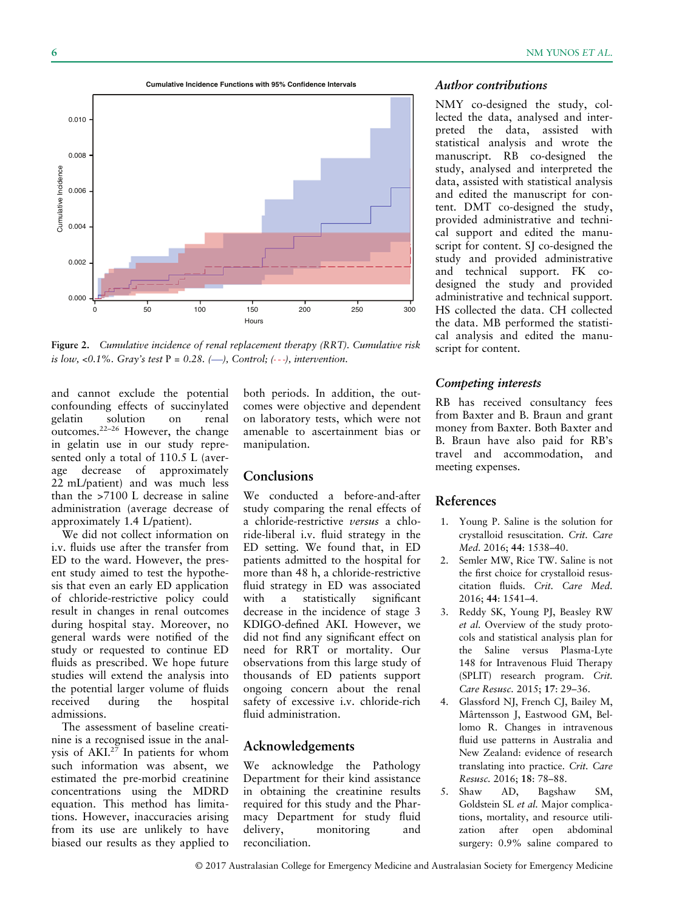

Figure 2. Cumulative incidence of renal replacement therapy (RRT). Cumulative risk is low, <0.1%. Gray's test  $P = 0.28$ . (-), Control; (--), intervention.

and cannot exclude the potential confounding effects of succinylated<br>gelating solution on renal solution on renal outcomes.<sup>22</sup>–<sup>26</sup> However, the change in gelatin use in our study represented only a total of 110.5 L (average decrease of approximately 22 mL/patient) and was much less than the >7100 L decrease in saline administration (average decrease of approximately 1.4 L/patient).

We did not collect information on i.v. fluids use after the transfer from ED to the ward. However, the present study aimed to test the hypothesis that even an early ED application of chloride-restrictive policy could result in changes in renal outcomes during hospital stay. Moreover, no general wards were notified of the study or requested to continue ED fluids as prescribed. We hope future studies will extend the analysis into the potential larger volume of fluids received during the hospital admissions.

The assessment of baseline creatinine is a recognised issue in the analysis of AKI.27 In patients for whom such information was absent, we estimated the pre-morbid creatinine concentrations using the MDRD equation. This method has limitations. However, inaccuracies arising from its use are unlikely to have biased our results as they applied to

both periods. In addition, the outcomes were objective and dependent on laboratory tests, which were not amenable to ascertainment bias or manipulation.

#### Conclusions

We conducted a before-and-after study comparing the renal effects of a chloride-restrictive versus a chloride-liberal i.v. fluid strategy in the ED setting. We found that, in ED patients admitted to the hospital for more than 48 h, a chloride-restrictive fluid strategy in ED was associated with a statistically significant decrease in the incidence of stage 3 KDIGO-defined AKI. However, we did not find any significant effect on need for RRT or mortality. Our observations from this large study of thousands of ED patients support ongoing concern about the renal safety of excessive i.v. chloride-rich fluid administration.

# Acknowledgements

We acknowledge the Pathology Department for their kind assistance in obtaining the creatinine results required for this study and the Pharmacy Department for study fluid delivery, monitoring and reconciliation.

#### Author contributions

NMY co-designed the study, collected the data, analysed and interpreted the data, assisted with statistical analysis and wrote the manuscript. RB co-designed the study, analysed and interpreted the data, assisted with statistical analysis and edited the manuscript for content. DMT co-designed the study, provided administrative and technical support and edited the manuscript for content. SJ co-designed the study and provided administrative and technical support. FK codesigned the study and provided administrative and technical support. HS collected the data. CH collected the data. MB performed the statistical analysis and edited the manuscript for content.

#### Competing interests

RB has received consultancy fees from Baxter and B. Braun and grant money from Baxter. Both Baxter and B. Braun have also paid for RB's travel and accommodation, and meeting expenses.

# References

- 1. Young P. Saline is the solution for crystalloid resuscitation. Crit. Care Med. 2016; 44: 1538–40.
- 2. Semler MW, Rice TW. Saline is not the first choice for crystalloid resuscitation fluids. Crit. Care Med. 2016; 44: 1541–4.
- 3. Reddy SK, Young PJ, Beasley RW et al. Overview of the study protocols and statistical analysis plan for the Saline versus Plasma-Lyte 148 for Intravenous Fluid Therapy (SPLIT) research program. Crit. Care Resusc. 2015; 17: 29–36.
- 4. Glassford NJ, French CJ, Bailey M, Mârtensson J, Eastwood GM, Bellomo R. Changes in intravenous fluid use patterns in Australia and New Zealand: evidence of research translating into practice. Crit. Care Resusc. 2016; 18: 78–88.
- 5. Shaw AD, Bagshaw SM, Goldstein SL et al. Major complications, mortality, and resource utilization after open abdominal surgery: 0.9% saline compared to